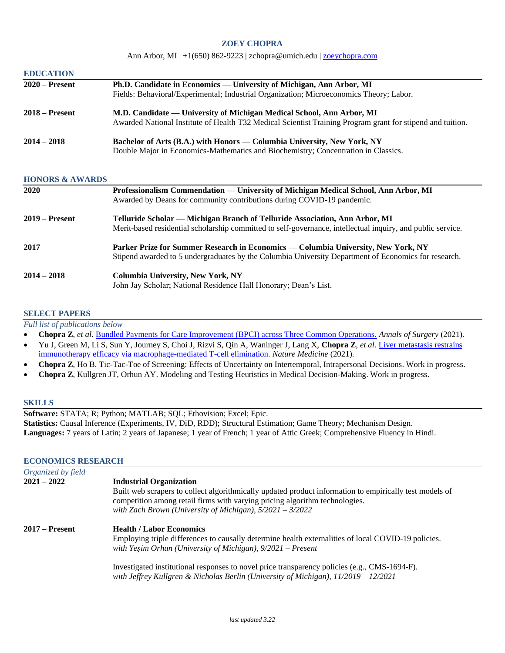### **ZOEY CHOPRA**

Ann Arbor, MI  $|+1(650) 862-9223|$  zchopra@umich.edu  $|$  [zoeychopra.com](http://zoeychopra.com/)

| <b>EDUCATION</b> |                                                                                                            |
|------------------|------------------------------------------------------------------------------------------------------------|
| $2020$ – Present | Ph.D. Candidate in Economics — University of Michigan, Ann Arbor, MI                                       |
|                  | Fields: Behavioral/Experimental; Industrial Organization; Microeconomics Theory; Labor.                    |
| $2018 -$ Present | M.D. Candidate — University of Michigan Medical School, Ann Arbor, MI                                      |
|                  | Awarded National Institute of Health T32 Medical Scientist Training Program grant for stipend and tuition. |
| $2014 - 2018$    | Bachelor of Arts (B.A.) with Honors — Columbia University, New York, NY                                    |
|                  | Double Major in Economics-Mathematics and Biochemistry; Concentration in Classics.                         |

### **HONORS & AWARDS**

| <b>2020</b>      | Professionalism Commendation — University of Michigan Medical School, Ann Arbor, MI<br>Awarded by Deans for community contributions during COVID-19 pandemic.                              |
|------------------|--------------------------------------------------------------------------------------------------------------------------------------------------------------------------------------------|
| $2019 -$ Present | Telluride Scholar — Michigan Branch of Telluride Association, Ann Arbor, MI<br>Merit-based residential scholarship committed to self-governance, intellectual inquiry, and public service. |
| 2017             | Parker Prize for Summer Research in Economics — Columbia University, New York, NY<br>Stipend awarded to 5 undergraduates by the Columbia University Department of Economics for research.  |
| $2014 - 2018$    | <b>Columbia University, New York, NY</b><br>John Jay Scholar; National Residence Hall Honorary; Dean's List.                                                                               |

### **SELECT PAPERS**

*Full list of publications below*

- **Chopra Z**, *et al*. [Bundled Payments for Care Improvement \(BPCI\) across Three Common Operations.](https://journals.lww.com/annalsofsurgery/Abstract/9000/Bundled_Payments_for_Care_Improvement__BPCI_.93643.aspx) *Annals of Surgery* (2021).
- Yu J, Green M, Li S, Sun Y, Journey S, Choi J, Rizvi S, Qin A, Waninger J, Lang X, **Chopra Z**, *et al*. [Liver metastasis restrains](https://www.nature.com/articles/s41591-020-1131-x?elqTrackId=7b11381fdfa4473dbb03f9a4ca63065c)  [immunotherapy efficacy via macrophage-mediated T-cell elimination.](https://www.nature.com/articles/s41591-020-1131-x?elqTrackId=7b11381fdfa4473dbb03f9a4ca63065c) *Nature Medicine* (2021).
- **Chopra Z**, Ho B. Tic-Tac-Toe of Screening: Effects of Uncertainty on Intertemporal, Intrapersonal Decisions. Work in progress.
- **Chopra Z**, Kullgren JT, Orhun AY. Modeling and Testing Heuristics in Medical Decision-Making. Work in progress.

### **SKILLS**

**Software:** STATA; R; Python; MATLAB; SQL; Ethovision; Excel; Epic. **Statistics:** Causal Inference (Experiments, IV, DiD, RDD); Structural Estimation; Game Theory; Mechanism Design. **Languages:** 7 years of Latin; 2 years of Japanese; 1 year of French; 1 year of Attic Greek; Comprehensive Fluency in Hindi.

#### **ECONOMICS RESEARCH**

| Organized by field |                                                                                                                                                                                                                                                       |
|--------------------|-------------------------------------------------------------------------------------------------------------------------------------------------------------------------------------------------------------------------------------------------------|
| $2021 - 2022$      | <b>Industrial Organization</b>                                                                                                                                                                                                                        |
|                    | Built web scrapers to collect algorithmically updated product information to empirically test models of<br>competition among retail firms with varying pricing algorithm technologies.<br>with Zach Brown (University of Michigan), $5/2021 - 3/2022$ |
| $2017 -$ Present   | <b>Health / Labor Economics</b><br>Employing triple differences to causally determine health externalities of local COVID-19 policies.<br>with Yeşim Orhun (University of Michigan), $9/2021$ – Present                                               |
|                    | Investigated institutional responses to novel price transparency policies (e.g., CMS-1694-F).<br>with Jeffrey Kullgren & Nicholas Berlin (University of Michigan), $11/2019 - 12/2021$                                                                |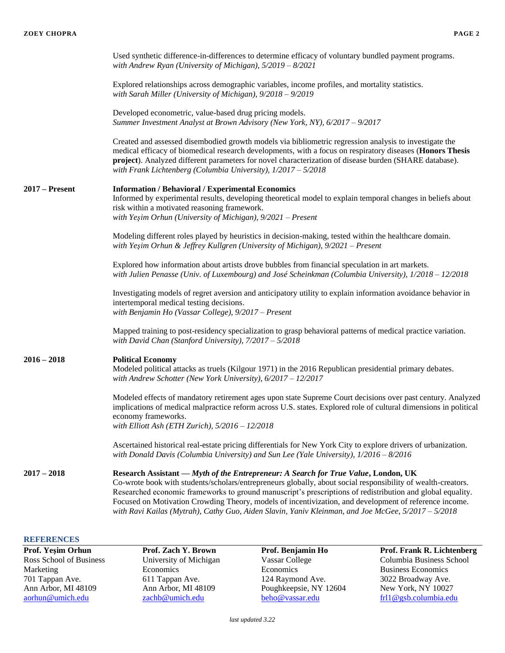|                  | Used synthetic difference-in-differences to determine efficacy of voluntary bundled payment programs.<br>with Andrew Ryan (University of Michigan), $5/2019 - 8/2021$                                                                                                                                                                                                                                                                                                                                                            |
|------------------|----------------------------------------------------------------------------------------------------------------------------------------------------------------------------------------------------------------------------------------------------------------------------------------------------------------------------------------------------------------------------------------------------------------------------------------------------------------------------------------------------------------------------------|
|                  | Explored relationships across demographic variables, income profiles, and mortality statistics.<br>with Sarah Miller (University of Michigan), 9/2018 - 9/2019                                                                                                                                                                                                                                                                                                                                                                   |
|                  | Developed econometric, value-based drug pricing models.<br>Summer Investment Analyst at Brown Advisory (New York, NY), 6/2017 - 9/2017                                                                                                                                                                                                                                                                                                                                                                                           |
|                  | Created and assessed disembodied growth models via bibliometric regression analysis to investigate the<br>medical efficacy of biomedical research developments, with a focus on respiratory diseases (Honors Thesis<br>project). Analyzed different parameters for novel characterization of disease burden (SHARE database).<br>with Frank Lichtenberg (Columbia University), $1/2017 - 5/2018$                                                                                                                                 |
| $2017 -$ Present | <b>Information / Behavioral / Experimental Economics</b><br>Informed by experimental results, developing theoretical model to explain temporal changes in beliefs about<br>risk within a motivated reasoning framework.<br>with Yeşim Orhun (University of Michigan), $9/2021$ – Present                                                                                                                                                                                                                                         |
|                  | Modeling different roles played by heuristics in decision-making, tested within the healthcare domain.<br>with Yeşim Orhun & Jeffrey Kullgren (University of Michigan), 9/2021 - Present                                                                                                                                                                                                                                                                                                                                         |
|                  | Explored how information about artists drove bubbles from financial speculation in art markets.<br>with Julien Penasse (Univ. of Luxembourg) and José Scheinkman (Columbia University), 1/2018 - 12/2018                                                                                                                                                                                                                                                                                                                         |
|                  | Investigating models of regret aversion and anticipatory utility to explain information avoidance behavior in<br>intertemporal medical testing decisions.<br>with Benjamin Ho (Vassar College), 9/2017 - Present                                                                                                                                                                                                                                                                                                                 |
|                  | Mapped training to post-residency specialization to grasp behavioral patterns of medical practice variation.<br>with David Chan (Stanford University), $7/2017 - 5/2018$                                                                                                                                                                                                                                                                                                                                                         |
| $2016 - 2018$    | <b>Political Economy</b><br>Modeled political attacks as truels (Kilgour 1971) in the 2016 Republican presidential primary debates.<br>with Andrew Schotter (New York University), 6/2017 - 12/2017                                                                                                                                                                                                                                                                                                                              |
|                  | Modeled effects of mandatory retirement ages upon state Supreme Court decisions over past century. Analyzed<br>implications of medical malpractice reform across U.S. states. Explored role of cultural dimensions in political<br>economy frameworks.<br>with Elliott Ash (ETH Zurich), $5/2016 - 12/2018$                                                                                                                                                                                                                      |
|                  | Ascertained historical real-estate pricing differentials for New York City to explore drivers of urbanization.<br>with Donald Davis (Columbia University) and Sun Lee (Yale University), $1/2016 - 8/2016$                                                                                                                                                                                                                                                                                                                       |
| $2017 - 2018$    | Research Assistant — Myth of the Entrepreneur: A Search for True Value, London, UK<br>Co-wrote book with students/scholars/entrepreneurs globally, about social responsibility of wealth-creators.<br>Researched economic frameworks to ground manuscript's prescriptions of redistribution and global equality.<br>Focused on Motivation Crowding Theory, models of incentivization, and development of reference income.<br>with Ravi Kailas (Mytrah), Cathy Guo, Aiden Slavin, Yaniv Kleinman, and Joe McGee, 5/2017 - 5/2018 |

# **REFERENCES**

**Prof. Yeşim Orhun Prof. Zach Y. Brown Prof. Benjamin Ho Prof. Frank R. Lichtenberg** Ross School of Business University of Michigan Vassar College Columbia Business School<br>Marketing Economics Business Economics Business Economics Marketing Economics Economics Economics Economics Economics Business Economics 701 Tappan Ave. 611 Tappan Ave. 124 Raymond Ave. 3022 Broadway Ave. Ann Arbor, MI 48109 Ann Arbor, MI 48109 Poughkeepsie, NY 12604 aorhun@umich.edu zachb@umich.edu beho@vassar.edu [frl1@gsb.columbia.edu](mailto:frl1@gsb.columbia.edu)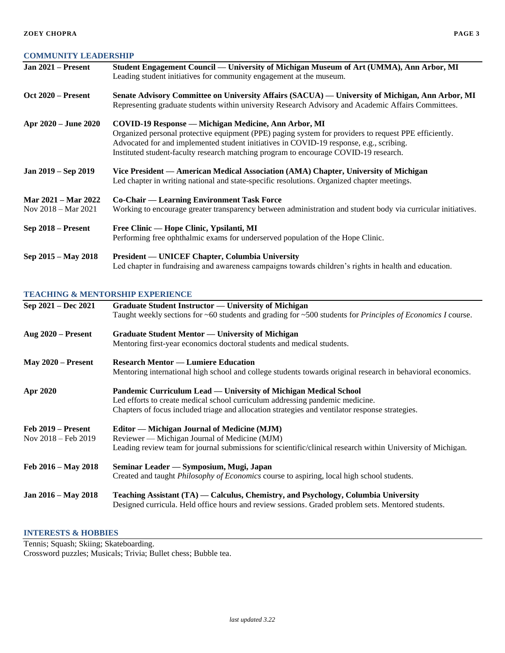# **COMMUNITY LEADERSHIP**

| Jan $2021$ – Present                                 | Student Engagement Council — University of Michigan Museum of Art (UMMA), Ann Arbor, MI<br>Leading student initiatives for community engagement at the museum.                                                                                                                                                                                   |
|------------------------------------------------------|--------------------------------------------------------------------------------------------------------------------------------------------------------------------------------------------------------------------------------------------------------------------------------------------------------------------------------------------------|
| $Oct 2020 - Present$                                 | Senate Advisory Committee on University Affairs (SACUA) — University of Michigan, Ann Arbor, MI<br>Representing graduate students within university Research Advisory and Academic Affairs Committees.                                                                                                                                           |
| Apr 2020 – June 2020                                 | COVID-19 Response — Michigan Medicine, Ann Arbor, MI<br>Organized personal protective equipment (PPE) paging system for providers to request PPE efficiently.<br>Advocated for and implemented student initiatives in COVID-19 response, e.g., scribing.<br>Instituted student-faculty research matching program to encourage COVID-19 research. |
| Jan 2019 – Sep 2019                                  | Vice President — American Medical Association (AMA) Chapter, University of Michigan<br>Led chapter in writing national and state-specific resolutions. Organized chapter meetings.                                                                                                                                                               |
| Mar 2021 – Mar 2022<br>Nov $2018 - \text{Mar } 2021$ | Co-Chair — Learning Environment Task Force<br>Working to encourage greater transparency between administration and student body via curricular initiatives.                                                                                                                                                                                      |
| Sep 2018 – Present                                   | Free Clinic — Hope Clinic, Ypsilanti, MI<br>Performing free ophthalmic exams for underserved population of the Hope Clinic.                                                                                                                                                                                                                      |
| Sep 2015 – May 2018                                  | <b>President — UNICEF Chapter, Columbia University</b><br>Led chapter in fundraising and awareness campaigns towards children's rights in health and education.                                                                                                                                                                                  |

## **TEACHING & MENTORSHIP EXPERIENCE**

| Sep 2021 – Dec 2021                                   | Graduate Student Instructor — University of Michigan<br>Taught weekly sections for ~60 students and grading for ~500 students for <i>Principles of Economics I</i> course.                                                                           |
|-------------------------------------------------------|------------------------------------------------------------------------------------------------------------------------------------------------------------------------------------------------------------------------------------------------------|
| Aug $2020$ – Present                                  | Graduate Student Mentor — University of Michigan<br>Mentoring first-year economics doctoral students and medical students.                                                                                                                           |
| May $2020$ – Present                                  | <b>Research Mentor — Lumiere Education</b><br>Mentoring international high school and college students towards original research in behavioral economics.                                                                                            |
| Apr 2020                                              | Pandemic Curriculum Lead — University of Michigan Medical School<br>Led efforts to create medical school curriculum addressing pandemic medicine.<br>Chapters of focus included triage and allocation strategies and ventilator response strategies. |
| $Feb 2019 - Present$<br>Nov $2018 - \text{Feb } 2019$ | <b>Editor</b> — Michigan Journal of Medicine (MJM)<br>Reviewer — Michigan Journal of Medicine (MJM)<br>Leading review team for journal submissions for scientific/clinical research within University of Michigan.                                   |
| Feb $2016 - May 2018$                                 | Seminar Leader — Symposium, Mugi, Japan<br>Created and taught <i>Philosophy of Economics</i> course to aspiring, local high school students.                                                                                                         |
| Jan 2016 – May 2018                                   | Teaching Assistant (TA) — Calculus, Chemistry, and Psychology, Columbia University<br>Designed curricula. Held office hours and review sessions. Graded problem sets. Mentored students.                                                             |

# **INTERESTS & HOBBIES**

Tennis; Squash; Skiing; Skateboarding. Crossword puzzles; Musicals; Trivia; Bullet chess; Bubble tea.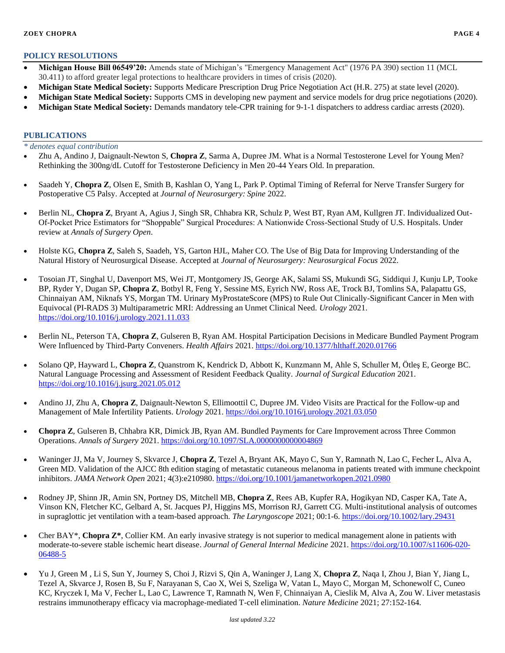### **POLICY RESOLUTIONS**

- **Michigan House Bill 06549'20:** Amends state of Michigan's "Emergency Management Act" (1976 PA 390) section 11 (MCL 30.411) to afford greater legal protections to healthcare providers in times of crisis (2020).
- **Michigan State Medical Society:** Supports Medicare Prescription Drug Price Negotiation Act (H.R. 275) at state level (2020).
- **Michigan State Medical Society:** Supports CMS in developing new payment and service models for drug price negotiations (2020).
- **Michigan State Medical Society:** Demands mandatory tele-CPR training for 9-1-1 dispatchers to address cardiac arrests (2020).

#### **PUBLICATIONS**

### *\* denotes equal contribution*

- Zhu A, Andino J, Daignault-Newton S, **Chopra Z**, Sarma A, Dupree JM. What is a Normal Testosterone Level for Young Men? Rethinking the 300ng/dL Cutoff for Testosterone Deficiency in Men 20-44 Years Old. In preparation.
- Saadeh Y, **Chopra Z**, Olsen E, Smith B, Kashlan O, Yang L, Park P. Optimal Timing of Referral for Nerve Transfer Surgery for Postoperative C5 Palsy. Accepted at *Journal of Neurosurgery: Spine* 2022.
- Berlin NL, **Chopra Z**, Bryant A, Agius J, Singh SR, Chhabra KR, Schulz P, West BT, Ryan AM, Kullgren JT. Individualized Out-Of-Pocket Price Estimators for "Shoppable" Surgical Procedures: A Nationwide Cross-Sectional Study of U.S. Hospitals. Under review at *Annals of Surgery Open*.
- Holste KG, **Chopra Z**, Saleh S, Saadeh, YS, Garton HJL, Maher CO. The Use of Big Data for Improving Understanding of the Natural History of Neurosurgical Disease. Accepted at *Journal of Neurosurgery: Neurosurgical Focus* 2022.
- Tosoian JT, Singhal U, Davenport MS, Wei JT, Montgomery JS, George AK, Salami SS, Mukundi SG, Siddiqui J, Kunju LP, Tooke BP, Ryder Y, Dugan SP, **Chopra Z**, Botbyl R, Feng Y, Sessine MS, Eyrich NW, Ross AE, Trock BJ, Tomlins SA, Palapattu GS, Chinnaiyan AM, Niknafs YS, Morgan TM. Urinary MyProstateScore (MPS) to Rule Out Clinically-Significant Cancer in Men with Equivocal (PI-RADS 3) Multiparametric MRI: Addressing an Unmet Clinical Need. *Urology* 2021. <https://doi.org/10.1016/j.urology.2021.11.033>
- Berlin NL, Peterson TA, **Chopra Z**, Gulseren B, Ryan AM. Hospital Participation Decisions in Medicare Bundled Payment Program Were Influenced by Third-Party Conveners. *Health Affairs* 2021.<https://doi.org/10.1377/hlthaff.2020.01766>
- Solano QP, Hayward L, **Chopra Z**, Quanstrom K, Kendrick D, Abbott K, Kunzmann M, Ahle S, Schuller M, Ötleş E, George BC. Natural Language Processing and Assessment of Resident Feedback Quality. *Journal of Surgical Education* 2021. <https://doi.org/10.1016/j.jsurg.2021.05.012>
- Andino JJ, Zhu A, **Chopra Z**, Daignault-Newton S, Ellimoottil C, Dupree JM. Video Visits are Practical for the Follow-up and Management of Male Infertility Patients. *Urology* 2021[. https://doi.org/10.1016/j.urology.2021.03.050](https://doi.org/10.1016/j.urology.2021.03.050)
- **Chopra Z**, Gulseren B, Chhabra KR, Dimick JB, Ryan AM. Bundled Payments for Care Improvement across Three Common Operations. *Annals of Surgery* 2021. <https://doi.org/10.1097/SLA.0000000000004869>
- Waninger JJ, Ma V, Journey S, Skvarce J, **Chopra Z**, Tezel A, Bryant AK, Mayo C, Sun Y, Ramnath N, Lao C, Fecher L, Alva A, Green MD. Validation of the AJCC 8th edition staging of metastatic cutaneous melanoma in patients treated with immune checkpoint inhibitors. *JAMA Network Open* 2021; 4(3):e210980. <https://doi.org/10.1001/jamanetworkopen.2021.0980>
- Rodney JP, Shinn JR, Amin SN, Portney DS, Mitchell MB, **Chopra Z**, Rees AB, Kupfer RA, Hogikyan ND, Casper KA, Tate A, Vinson KN, Fletcher KC, Gelbard A, St. Jacques PJ, Higgins MS, Morrison RJ, Garrett CG. Multi-institutional analysis of outcomes in supraglottic jet ventilation with a team-based approach. *The Laryngoscope* 2021; 00:1-6[. https://doi.org/10.1002/lary.29431](https://doi.org/10.1002/lary.29431)
- Cher BAY<sup>\*</sup>, Chopra Z<sup>\*</sup>, Collier KM. An early invasive strategy is not superior to medical management alone in patients with moderate-to-severe stable ischemic heart disease. *Journal of General Internal Medicine* 2021. [https://doi.org/10.1007/s11606-020-](https://doi.org/10.1007/s11606-020-06488-5) [06488-5](https://doi.org/10.1007/s11606-020-06488-5)
- Yu J, Green M , Li S, Sun Y, Journey S, Choi J, Rizvi S, Qin A, Waninger J, Lang X, **Chopra Z**, Naqa I, Zhou J, Bian Y, Jiang L, Tezel A, Skvarce J, Rosen B, Su F, Narayanan S, Cao X, Wei S, Szeliga W, Vatan L, Mayo C, Morgan M, Schonewolf C, Cuneo KC, Kryczek I, Ma V, Fecher L, Lao C, Lawrence T, Ramnath N, Wen F, Chinnaiyan A, Cieslik M, Alva A, Zou W. Liver metastasis restrains immunotherapy efficacy via macrophage-mediated T-cell elimination. *Nature Medicine* 2021; 27:152-164.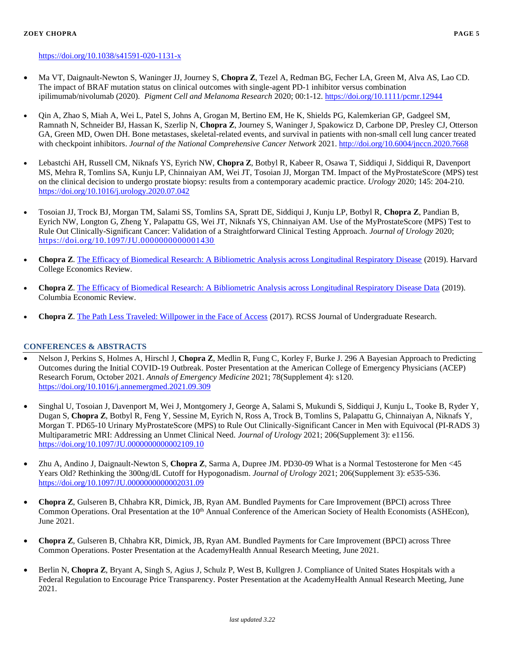#### **ZOEY CHOPRA PAGE 5**

- Ma VT, Daignault-Newton S, Waninger JJ, Journey S, **Chopra Z**, Tezel A, Redman BG, Fecher LA, Green M, Alva AS, Lao CD. The impact of BRAF mutation status on clinical outcomes with single-agent PD-1 inhibitor versus combination ipilimumab/nivolumab (2020). *Pigment Cell and Melanoma Research* 2020; 00:1-12.<https://doi.org/10.1111/pcmr.12944>
- Oin A, Zhao S, Miah A, Wei L, Patel S, Johns A, Grogan M, Bertino EM, He K, Shields PG, Kalemkerian GP, Gadgeel SM, Ramnath N, Schneider BJ, Hassan K, Szerlip N, **Chopra Z**, Journey S, Waninger J, Spakowicz D, Carbone DP, Presley CJ, Otterson GA, Green MD, Owen DH. Bone metastases, skeletal-related events, and survival in patients with non-small cell lung cancer treated with checkpoint inhibitors. *Journal of the National Comprehensive Cancer Network* 2021. <http://doi.org/10.6004/jnccn.2020.7668>
- Lebastchi AH, Russell CM, Niknafs YS, Eyrich NW, **Chopra Z**, Botbyl R, Kabeer R, Osawa T, Siddiqui J, Siddiqui R, Davenport MS, Mehra R, Tomlins SA, Kunju LP, Chinnaiyan AM, Wei JT, Tosoian JJ, Morgan TM. Impact of the MyProstateScore (MPS) test on the clinical decision to undergo prostate biopsy: results from a contemporary academic practice. *Urology* 2020; 145: 204-210. <https://doi.org/10.1016/j.urology.2020.07.042>
- Tosoian JJ, Trock BJ, Morgan TM, Salami SS, Tomlins SA, Spratt DE, Siddiqui J, Kunju LP, Botbyl R, **Chopra Z**, Pandian B, Eyrich NW, Longton G, Zheng Y, Palapattu GS, Wei JT, Niknafs YS, Chinnaiyan AM. Use of the MyProstateScore (MPS) Test to Rule Out Clinically-Significant Cancer: Validation of a Straightforward Clinical Testing Approach. *Journal of Urology* 2020; <https://doi.org/10.1097/JU.0000000000001430>
- **Chopra Z**. [The Efficacy of Biomedical Research: A Bibliometric Analysis across Longitudinal Respiratory Disease](https://www.economicsreview.org/research-issue) (2019). Harvard College Economics Review.
- **Chopra Z**. [The Efficacy of Biomedical Research: A Bibliometric Analysis across Longitudinal Respiratory Disease Data](https://issuu.com/columbiaeconreview/docs/cer_2018_2019) (2019). Columbia Economic Review.
- **Chopra Z**. [The Path Less Traveled: Willpower in the Face of Access](https://rcss.scienceandsociety.columbia.edu/sites/default/files/content/Publications/RCSS%20Journal-4.pdf) (2017). RCSS Journal of Undergraduate Research.

## **CONFERENCES & ABSTRACTS**

- Nelson J, Perkins S, Holmes A, Hirschl J, **Chopra Z**, Medlin R, Fung C, Korley F, Burke J. 296 A Bayesian Approach to Predicting Outcomes during the Initial COVID-19 Outbreak. Poster Presentation at the American College of Emergency Physicians (ACEP) Research Forum, October 2021. *Annals of Emergency Medicine* 2021; 78(Supplement 4): s120. <https://doi.org/10.1016/j.annemergmed.2021.09.309>
- Singhal U, Tosoian J, Davenport M, Wei J, Montgomery J, George A, Salami S, Mukundi S, Siddiqui J, Kunju L, Tooke B, Ryder Y, Dugan S, **Chopra Z**, Botbyl R, Feng Y, Sessine M, Eyrich N, Ross A, Trock B, Tomlins S, Palapattu G, Chinnaiyan A, Niknafs Y, Morgan T. PD65-10 Urinary MyProstateScore (MPS) to Rule Out Clinically-Significant Cancer in Men with Equivocal (PI-RADS 3) Multiparametric MRI: Addressing an Unmet Clinical Need. *Journal of Urology* 2021; 206(Supplement 3): e1156. <https://doi.org/10.1097/JU.0000000000002109.10>
- Zhu A, Andino J, Daignault-Newton S, **Chopra Z**, Sarma A, Dupree JM. PD30-09 What is a Normal Testosterone for Men <45 Years Old? Rethinking the 300ng/dL Cutoff for Hypogonadism. *Journal of Urology* 2021; 206(Supplement 3): e535-536. <https://doi.org/10.1097/JU.0000000000002031.09>
- **Chopra Z**, Gulseren B, Chhabra KR, Dimick, JB, Ryan AM. Bundled Payments for Care Improvement (BPCI) across Three Common Operations. Oral Presentation at the  $10<sup>th</sup>$  Annual Conference of the American Society of Health Economists (ASHEcon), June 2021.
- **Chopra Z**, Gulseren B, Chhabra KR, Dimick, JB, Ryan AM. Bundled Payments for Care Improvement (BPCI) across Three Common Operations. Poster Presentation at the AcademyHealth Annual Research Meeting, June 2021.
- Berlin N, **Chopra Z**, Bryant A, Singh S, Agius J, Schulz P, West B, Kullgren J. Compliance of United States Hospitals with a Federal Regulation to Encourage Price Transparency. Poster Presentation at the AcademyHealth Annual Research Meeting, June 2021.